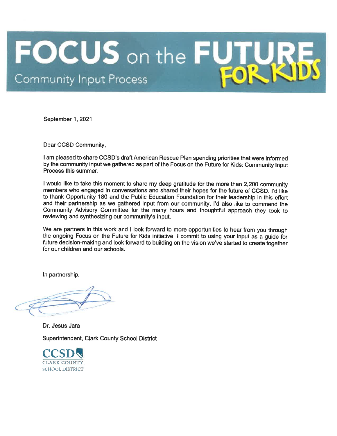# **FOCUS** on the FL **Community Input Process**

September 1, 2021

Dear CCSD Community,

I am pleased to share CCSD's draft American Rescue Plan spending priorities that were informed by the community input we gathered as part of the Focus on the Future for Kids: Community Input Process this summer.

I would like to take this moment to share my deep gratitude for the more than 2,200 community members who engaged in conversations and shared their hopes for the future of CCSD. I'd like to thank Opportunity 180 and the Public Education Foundation for their leadership in this effort and their partnership as we gathered input from our community. I'd also like to commend the Community Advisory Committee for the many hours and thoughtful approach they took to reviewing and synthesizing our community's input.

We are partners in this work and I look forward to more opportunities to hear from you through the ongoing Focus on the Future for Kids initiative. I commit to using your input as a guide for future decision-making and look forward to building on the vision we've started to create together for our children and our schools.

In partnership,

Dr. Jesus Jara Superintendent, Clark County School District

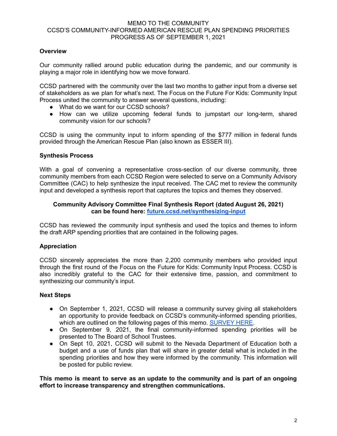# **Overview**

Our community rallied around public education during the pandemic, and our community is playing a major role in identifying how we move forward.

CCSD partnered with the community over the last two months to gather input from a diverse set of stakeholders as we plan for what's next. The Focus on the Future For Kids: Community Input Process united the community to answer several questions, including:

- What do we want for our CCSD schools?
- How can we utilize upcoming federal funds to jumpstart our long-term, shared community vision for our schools?

CCSD is using the community input to inform spending of the \$777 million in federal funds provided through the American Rescue Plan (also known as ESSER III).

# **Synthesis Process**

With a goal of convening a representative cross-section of our diverse community, three community members from each CCSD Region were selected to serve on a Community Advisory Committee (CAC) to help synthesize the input received. The CAC met to review the community input and developed a synthesis report that captures the topics and themes they observed.

### **Community Advisory Committee Final Synthesis Report (dated August 26, 2021) can be found here: [future.ccsd.net/synthesizing-input](http://future.ccsd.net/synthesizing-input)**

CCSD has reviewed the community input synthesis and used the topics and themes to inform the draft ARP spending priorities that are contained in the following pages.

# **Appreciation**

CCSD sincerely appreciates the more than 2,200 community members who provided input through the first round of the Focus on the Future for Kids: Community Input Process. CCSD is also incredibly grateful to the CAC for their extensive time, passion, and commitment to synthesizing our community's input.

#### **Next Steps**

- On September 1, 2021, CCSD will release a community survey giving all stakeholders an opportunity to provide feedback on CCSD's community-informed spending priorities, which are outlined on the following pages of this memo. [SURVEY](https://www.surveymonkey.com/r/ccsdfuture) HERE.
- On September 9, 2021, the final community-informed spending priorities will be presented to The Board of School Trustees.
- On Sept 10, 2021, CCSD will submit to the Nevada Department of Education both a budget and a use of funds plan that will share in greater detail what is included in the spending priorities and how they were informed by the community. This information will be posted for public review.

**This memo is meant to serve as an update to the community and is part of an ongoing effort to increase transparency and strengthen communications.**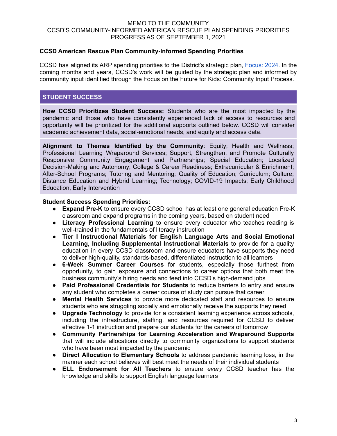# **CCSD American Rescue Plan Community-Informed Spending Priorities**

CCSD has aligned its ARP spending priorities to the District's strategic plan, [Focus:](https://sites.google.com/nv.ccsd.net/focus2024/the-plan?authuser=0) 2024. In the coming months and years, CCSD's work will be guided by the strategic plan and informed by community input identified through the Focus on the Future for Kids: Community Input Process.

# **STUDENT SUCCESS**

**How CCSD Prioritizes Student Success:** Students who are the most impacted by the pandemic and those who have consistently experienced lack of access to resources and opportunity will be prioritized for the additional supports outlined below. CCSD will consider academic achievement data, social-emotional needs, and equity and access data.

**Alignment to Themes Identified by the Community**: Equity; Health and Wellness; Professional Learning Wraparound Services; Support, Strengthen, and Promote Culturally Responsive Community Engagement and Partnerships; Special Education; Localized Decision-Making and Autonomy; College & Career Readiness; Extracurricular & Enrichment; After-School Programs; Tutoring and Mentoring; Quality of Education; Curriculum; Culture; Distance Education and Hybrid Learning; Technology; COVID-19 Impacts; Early Childhood Education, Early Intervention

#### **Student Success Spending Priorities:**

- **Expand Pre-K** to ensure every CCSD school has at least one general education Pre-K classroom and expand programs in the coming years, based on student need
- **Literacy Professional Learning** to ensure every educator who teaches reading is well-trained in the fundamentals of literacy instruction
- **Tier I Instructional Materials for English Language Arts and Social Emotional Learning, Including Supplemental Instructional Materials** to provide for a quality education in every CCSD classroom and ensure educators have supports they need to deliver high-quality, standards-based, differentiated instruction to all learners
- **6-Week Summer Career Courses** for students, especially those furthest from opportunity, to gain exposure and connections to career options that both meet the business community's hiring needs and feed into CCSD's high-demand jobs
- **Paid Professional Credentials for Students** to reduce barriers to entry and ensure any student who completes a career course of study can pursue that career
- **Mental Health Services** to provide more dedicated staff and resources to ensure students who are struggling socially and emotionally receive the supports they need
- **Upgrade Technology** to provide for a consistent learning experience across schools, including the infrastructure, staffing, and resources required for CCSD to deliver effective 1-1 instruction and prepare our students for the careers of tomorrow
- **Community Partnerships for Learning Acceleration and Wraparound Supports** that will include allocations directly to community organizations to support students who have been most impacted by the pandemic
- **Direct Allocation to Elementary Schools** to address pandemic learning loss, in the manner each school believes will best meet the needs of their individual students
- **ELL Endorsement for All Teachers** to ensure *every* CCSD teacher has the knowledge and skills to support English language learners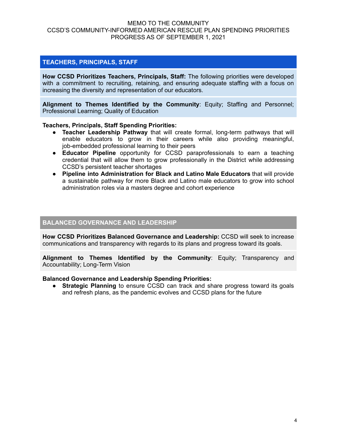# **TEACHERS, PRINCIPALS, STAFF**

**How CCSD Prioritizes Teachers, Principals, Staff:** The following priorities were developed with a commitment to recruiting, retaining, and ensuring adequate staffing with a focus on increasing the diversity and representation of our educators.

**Alignment to Themes Identified by the Community**: Equity; Staffing and Personnel; Professional Learning; Quality of Education

#### **Teachers, Principals, Staff Spending Priorities:**

- **Teacher Leadership Pathway** that will create formal, long-term pathways that will enable educators to grow in their careers while also providing meaningful, job-embedded professional learning to their peers
- **Educator Pipeline** opportunity for CCSD paraprofessionals to earn a teaching credential that will allow them to grow professionally in the District while addressing CCSD's persistent teacher shortages
- **Pipeline into Administration for Black and Latino Male Educators** that will provide a sustainable pathway for more Black and Latino male educators to grow into school administration roles via a masters degree and cohort experience

# **BALANCED GOVERNANCE AND LEADERSHIP**

**How CCSD Prioritizes Balanced Governance and Leadership:** CCSD will seek to increase communications and transparency with regards to its plans and progress toward its goals.

**Alignment to Themes Identified by the Community**: Equity; Transparency and Accountability; Long-Term Vision

#### **Balanced Governance and Leadership Spending Priorities:**

● **Strategic Planning** to ensure CCSD can track and share progress toward its goals and refresh plans, as the pandemic evolves and CCSD plans for the future